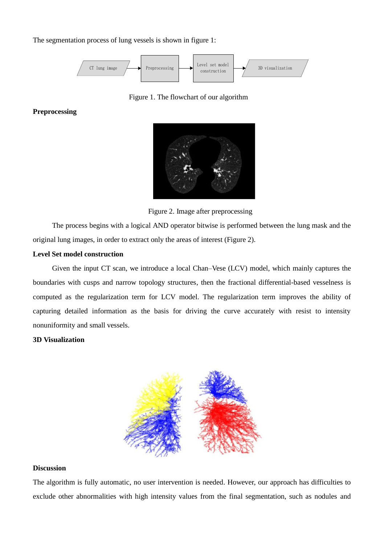The segmentation process of lung vessels is shown in figure 1:



Figure 1. The flowchart of our algorithm

## **Preprocessing**



Figure 2. Image after preprocessing

The process begins with a logical AND operator bitwise is performed between the lung mask and the original lung images, in order to extract only the areas of interest (Figure 2).

## **Level Set model construction**

Given the input CT scan, we introduce a local Chan–Vese (LCV) model, which mainly captures the boundaries with cusps and narrow topology structures, then the fractional differential-based vesselness is computed as the regularization term for LCV model. The regularization term improves the ability of capturing detailed information as the basis for driving the curve accurately with resist to intensity nonuniformity and small vessels.

## **3D Visualization**



## **Discussion**

The algorithm is fully automatic, no user intervention is needed. However, our approach has difficulties to exclude other abnormalities with high intensity values from the final segmentation, such as nodules and